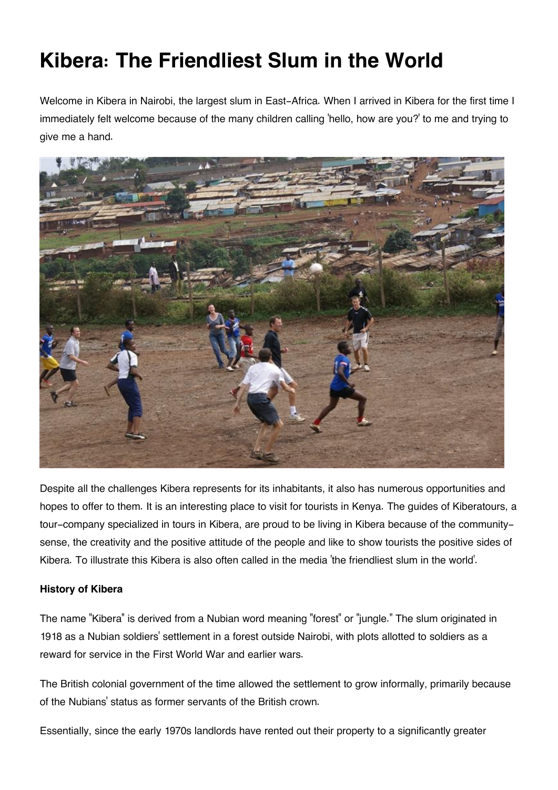# **Kibera: The Friendliest Slum in the World**

Welcome in Kibera in Nairobi, the largest slum in East-Africa. When I arrived in Kibera for the first time I immediately felt welcome because of the many children calling 'hello, how are you?' to me and trying to give me a hand.



Despite all the challenges Kibera represents for its inhabitants, it also has numerous opportunities and hopes to offer to them. It is an interesting place to visit for tourists in Kenya. The guides of Kiberatours, a tour-company specialized in tours in Kibera, are proud to be living in Kibera because of the communitysense, the creativity and the positive attitude of the people and like to show tourists the positive sides of Kibera. To illustrate this Kibera is also often called in the media 'the friendliest slum in the world'.

### **History of Kibera**

The name "Kibera" is derived from a Nubian word meaning "forest" or "jungle." The slum originated in 1918 as a Nubian soldiers' settlement in a forest outside Nairobi, with plots allotted to soldiers as a reward for service in the First World War and earlier wars.

The British colonial government of the time allowed the settlement to grow informally, primarily because of the Nubians' status as former servants of the British crown.

Essentially, since the early 1970s landlords have rented out their property to a significantly greater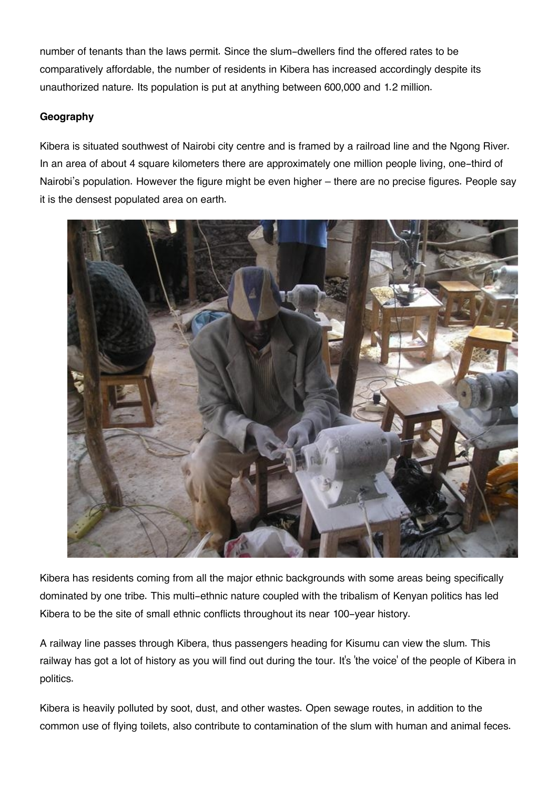number of tenants than the laws permit. Since the slum-dwellers find the offered rates to be comparatively affordable, the number of residents in Kibera has increased accordingly despite its unauthorized nature. Its population is put at anything between 600,000 and 1.2 million.

## **Geography**

Kibera is situated southwest of Nairobi city centre and is framed by a railroad line and the Ngong River. In an area of about 4 square kilometers there are approximately one million people living, one-third of Nairobi's population. However the figure might be even higher – there are no precise figures. People say it is the densest populated area on earth.



Kibera has residents coming from all the major ethnic backgrounds with some areas being specifically dominated by one tribe. This multi-ethnic nature coupled with the tribalism of Kenyan politics has led Kibera to be the site of small ethnic conflicts throughout its near 100-year history.

A railway line passes through Kibera, thus passengers heading for Kisumu can view the slum. This railway has got a lot of history as you will find out during the tour. It's 'the voice' of the people of Kibera in politics.

Kibera is heavily polluted by soot, dust, and other wastes. Open sewage routes, in addition to the common use of flying toilets, also contribute to contamination of the slum with human and animal feces.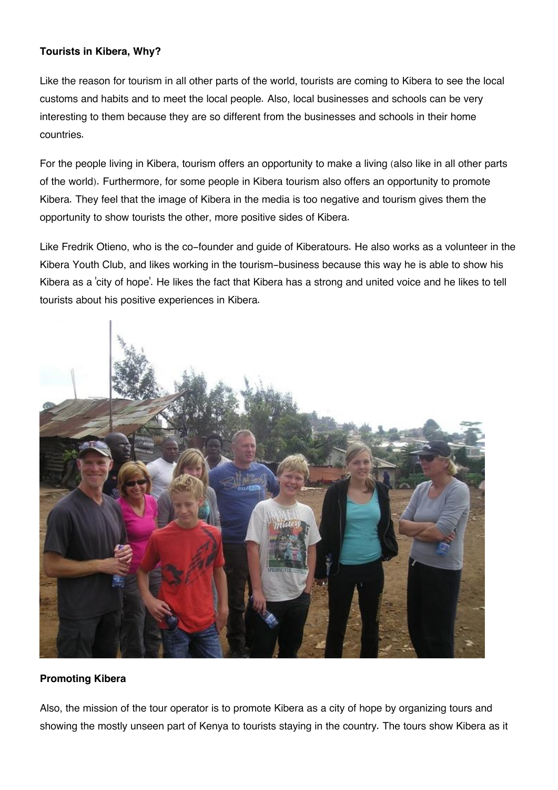#### **Tourists in Kibera, Why?**

Like the reason for tourism in all other parts of the world, tourists are coming to Kibera to see the local customs and habits and to meet the local people. Also, local businesses and schools can be very interesting to them because they are so different from the businesses and schools in their home countries.

For the people living in Kibera, tourism offers an opportunity to make a living (also like in all other parts of the world). Furthermore, for some people in Kibera tourism also offers an opportunity to promote Kibera. They feel that the image of Kibera in the media is too negative and tourism gives them the opportunity to show tourists the other, more positive sides of Kibera.

Like Fredrik Otieno, who is the co-founder and guide of Kiberatours. He also works as a volunteer in the Kibera Youth Club, and likes working in the tourism-business because this way he is able to show his Kibera as a 'city of hope'. He likes the fact that Kibera has a strong and united voice and he likes to tell tourists about his positive experiences in Kibera.



#### **Promoting Kibera**

Also, the mission of the tour operator is to promote Kibera as a city of hope by organizing tours and showing the mostly unseen part of Kenya to tourists staying in the country. The tours show Kibera as it